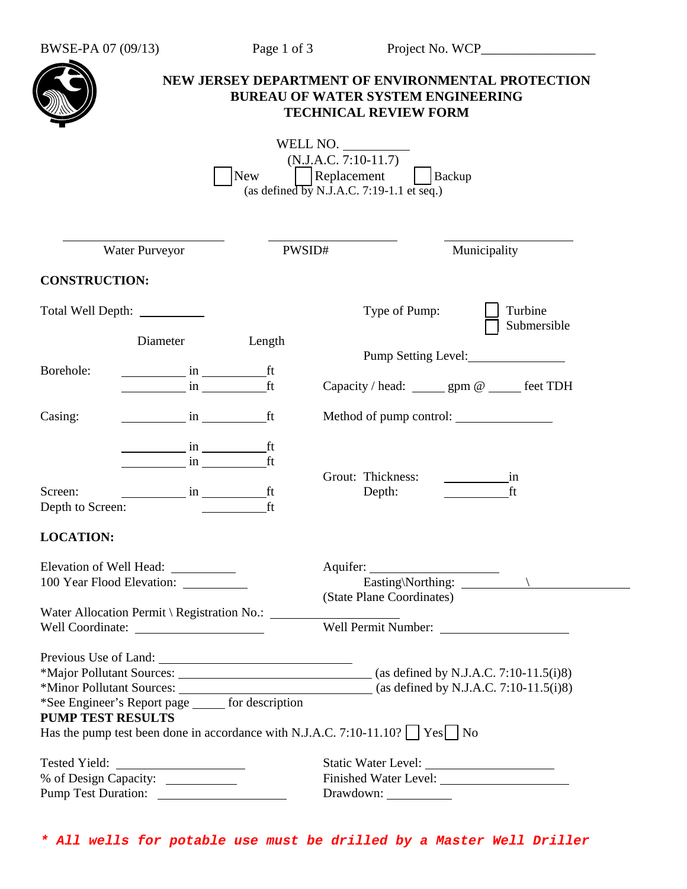| BWSE-PA 07 (09/13) |  |
|--------------------|--|
|--------------------|--|

| NEW JERSEY DEPARTMENT OF ENVIRONMENTAL PROTECTION<br><b>BUREAU OF WATER SYSTEM ENGINEERING</b><br><b>TECHNICAL REVIEW FORM</b><br>WELL NO.<br>$(N.J.A.C. 7:10-11.7)$<br>$\Box$ Replacement<br>New<br>Backup<br>(as defined by N.J.A.C. 7:19-1.1 et seq.) |                |                                                                     |                                                        |
|----------------------------------------------------------------------------------------------------------------------------------------------------------------------------------------------------------------------------------------------------------|----------------|---------------------------------------------------------------------|--------------------------------------------------------|
| Water Purveyor                                                                                                                                                                                                                                           | PWSID#         |                                                                     | Municipality                                           |
| <b>CONSTRUCTION:</b>                                                                                                                                                                                                                                     |                |                                                                     |                                                        |
|                                                                                                                                                                                                                                                          |                | Type of Pump:                                                       | Turbine<br>Submersible                                 |
| Diameter<br>Borehole:<br><u>in ft</u>                                                                                                                                                                                                                    | Length<br>ft   | Pump Setting Level:<br>Capacity / head: ______ gpm @ _____ feet TDH |                                                        |
| Casing:<br><i>in</i> ft                                                                                                                                                                                                                                  |                | Method of pump control:                                             |                                                        |
| Screen:<br>$\frac{1}{\sqrt{1-\frac{1}{2}}}\sin \frac{1}{2\sqrt{1-\frac{1}{2}}}\int$<br>Depth to Screen:                                                                                                                                                  | ft<br>ft<br>ft | Grout: Thickness:<br>Depth:                                         | $\frac{1}{\sqrt{1-\frac{1}{2}}}\sin \frac{1}{2}$<br>ft |
| <b>LOCATION:</b><br>Elevation of Well Head: __________<br>100 Year Flood Elevation: __________                                                                                                                                                           |                | (State Plane Coordinates)<br>Well Permit Number:                    |                                                        |
| *See Engineer's Report page ______ for description<br><b>PUMP TEST RESULTS</b><br>Has the pump test been done in accordance with N.J.A.C. 7:10-11.10? $\Box$ Yes $\Box$ No                                                                               |                |                                                                     |                                                        |
| Tested Yield:<br>% of Design Capacity: _____________                                                                                                                                                                                                     |                |                                                                     |                                                        |

*\* All wells for potable use must be drilled by a Master Well Driller*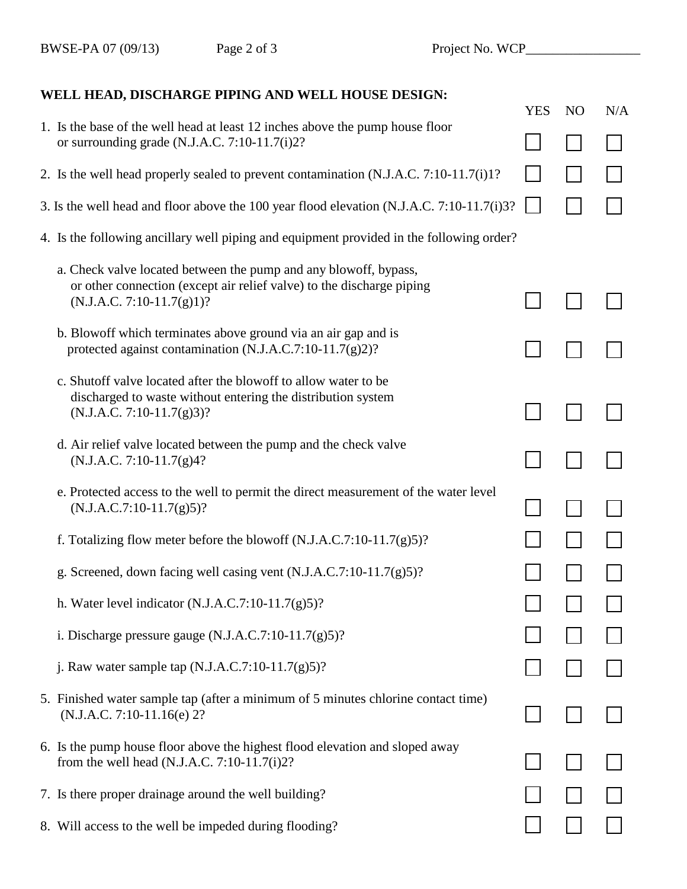## **WELL HEAD, DISCHARGE PIPING AND WELL HOUSE DESIGN:**

|                                                                                                                                                                          | <b>YES</b> | N <sub>O</sub> | N/A |
|--------------------------------------------------------------------------------------------------------------------------------------------------------------------------|------------|----------------|-----|
| 1. Is the base of the well head at least 12 inches above the pump house floor<br>or surrounding grade (N.J.A.C. 7:10-11.7(i)2?                                           |            |                |     |
| 2. Is the well head properly sealed to prevent contamination (N.J.A.C. 7:10-11.7(i)1?                                                                                    |            |                |     |
| 3. Is the well head and floor above the 100 year flood elevation (N.J.A.C. 7:10-11.7(i)3?                                                                                |            |                |     |
| 4. Is the following ancillary well piping and equipment provided in the following order?                                                                                 |            |                |     |
| a. Check valve located between the pump and any blowoff, bypass,<br>or other connection (except air relief valve) to the discharge piping<br>$(N.J.A.C. 7:10-11.7(g)1)?$ |            |                |     |
| b. Blowoff which terminates above ground via an air gap and is<br>protected against contamination (N.J.A.C.7:10-11.7(g)2)?                                               |            |                |     |
| c. Shutoff valve located after the blowoff to allow water to be<br>discharged to waste without entering the distribution system<br>$(N.J.A.C. 7:10-11.7(g)3)?$           |            |                |     |
| d. Air relief valve located between the pump and the check valve<br>$(N.J.A.C. 7:10-11.7(g)4?$                                                                           |            |                |     |
| e. Protected access to the well to permit the direct measurement of the water level<br>$(N.J.A.C.7:10-11.7(g)5)?$                                                        |            |                |     |
| f. Totalizing flow meter before the blowoff $(N.J.A.C.7:10-11.7(g)5)$ ?                                                                                                  |            |                |     |
| g. Screened, down facing well casing vent $(N.J.A.C.7:10-11.7(g)5)$ ?                                                                                                    |            |                |     |
| h. Water level indicator $(N.J.A.C.7:10-11.7(g)5)?$                                                                                                                      |            |                |     |
| i. Discharge pressure gauge $(N.J.A.C.7:10-11.7(g)5)?$                                                                                                                   |            |                |     |
| j. Raw water sample tap $(N.J.A.C.7:10-11.7(g)5)?$                                                                                                                       |            |                |     |
| 5. Finished water sample tap (after a minimum of 5 minutes chlorine contact time)<br>$(N.J.A.C. 7:10-11.16(e) 2?$                                                        |            |                |     |
| 6. Is the pump house floor above the highest flood elevation and sloped away<br>from the well head (N.J.A.C. $7:10-11.7(i)2?$                                            |            |                |     |
| 7. Is there proper drainage around the well building?                                                                                                                    |            |                |     |
| 8. Will access to the well be impeded during flooding?                                                                                                                   |            |                |     |